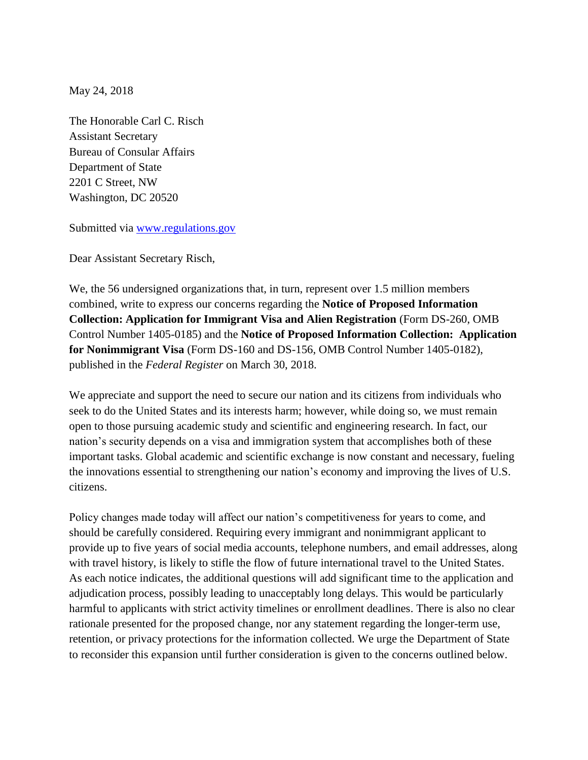May 24, 2018

The Honorable Carl C. Risch Assistant Secretary Bureau of Consular Affairs Department of State 2201 C Street, NW Washington, DC 20520

Submitted via [www.regulations.gov](http://www.regulations.gov/)

Dear Assistant Secretary Risch,

We, the 56 undersigned organizations that, in turn, represent over 1.5 million members combined, write to express our concerns regarding the **Notice of Proposed Information Collection: Application for Immigrant Visa and Alien Registration** (Form DS-260, OMB Control Number 1405-0185) and the **Notice of Proposed Information Collection: Application for Nonimmigrant Visa** (Form DS-160 and DS-156, OMB Control Number 1405-0182), published in the *Federal Register* on March 30, 2018.

We appreciate and support the need to secure our nation and its citizens from individuals who seek to do the United States and its interests harm; however, while doing so, we must remain open to those pursuing academic study and scientific and engineering research. In fact, our nation's security depends on a visa and immigration system that accomplishes both of these important tasks. Global academic and scientific exchange is now constant and necessary, fueling the innovations essential to strengthening our nation's economy and improving the lives of U.S. citizens.

Policy changes made today will affect our nation's competitiveness for years to come, and should be carefully considered. Requiring every immigrant and nonimmigrant applicant to provide up to five years of social media accounts, telephone numbers, and email addresses, along with travel history, is likely to stifle the flow of future international travel to the United States. As each notice indicates, the additional questions will add significant time to the application and adjudication process, possibly leading to unacceptably long delays. This would be particularly harmful to applicants with strict activity timelines or enrollment deadlines. There is also no clear rationale presented for the proposed change, nor any statement regarding the longer-term use, retention, or privacy protections for the information collected. We urge the Department of State to reconsider this expansion until further consideration is given to the concerns outlined below.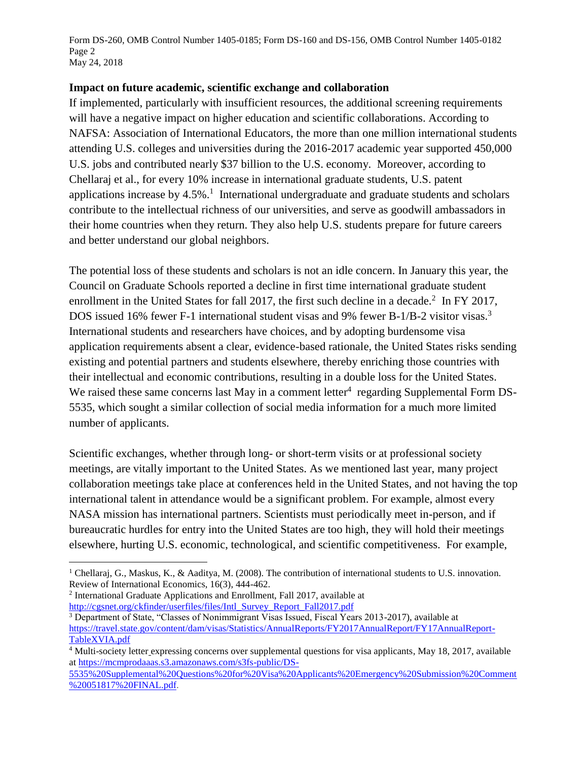Form DS-260, OMB Control Number 1405-0185; Form DS-160 and DS-156, OMB Control Number 1405-0182 Page 2 May 24, 2018

#### **Impact on future academic, scientific exchange and collaboration**

If implemented, particularly with insufficient resources, the additional screening requirements will have a negative impact on higher education and scientific collaborations. According to NAFSA: Association of International Educators, the more than one million international students attending U.S. colleges and universities during the 2016-2017 academic year supported 450,000 U.S. jobs and contributed nearly \$37 billion to the U.S. economy. Moreover, according to Chellaraj et al., for every 10% increase in international graduate students, U.S. patent applications increase by  $4.5\%$ .<sup>1</sup> International undergraduate and graduate students and scholars contribute to the intellectual richness of our universities, and serve as goodwill ambassadors in their home countries when they return. They also help U.S. students prepare for future careers and better understand our global neighbors.

The potential loss of these students and scholars is not an idle concern. In January this year, the Council on Graduate Schools reported a decline in first time international graduate student enrollment in the United States for fall 2017, the first such decline in a decade.<sup>2</sup> In FY 2017, DOS issued 16% fewer F-1 international student visas and 9% fewer B-1/B-2 visitor visas.<sup>3</sup> International students and researchers have choices, and by adopting burdensome visa application requirements absent a clear, evidence-based rationale, the United States risks sending existing and potential partners and students elsewhere, thereby enriching those countries with their intellectual and economic contributions, resulting in a double loss for the United States. We raised these same concerns last May in a comment letter $4$  regarding Supplemental Form DS-5535, which sought a similar collection of social media information for a much more limited number of applicants.

Scientific exchanges, whether through long- or short-term visits or at professional society meetings, are vitally important to the United States. As we mentioned last year, many project collaboration meetings take place at conferences held in the United States, and not having the top international talent in attendance would be a significant problem. For example, almost every NASA mission has international partners. Scientists must periodically meet in-person, and if bureaucratic hurdles for entry into the United States are too high, they will hold their meetings elsewhere, hurting U.S. economic, technological, and scientific competitiveness. For example,

<sup>2</sup> International Graduate Applications and Enrollment, Fall 2017, available at [http://cgsnet.org/ckfinder/userfiles/files/Intl\\_Survey\\_Report\\_Fall2017.pdf](http://cgsnet.org/ckfinder/userfiles/files/Intl_Survey_Report_Fall2017.pdf)

 $\overline{a}$ 

<sup>3</sup> Department of State, "Classes of Nonimmigrant Visas Issued, Fiscal Years 2013-2017), available at [https://travel.state.gov/content/dam/visas/Statistics/AnnualReports/FY2017AnnualReport/FY17AnnualReport-](https://travel.state.gov/content/dam/visas/Statistics/AnnualReports/FY2017AnnualReport/FY17AnnualReport-TableXVIA.pdf)[TableXVIA.pdf](https://travel.state.gov/content/dam/visas/Statistics/AnnualReports/FY2017AnnualReport/FY17AnnualReport-TableXVIA.pdf)

[5535%20Supplemental%20Questions%20for%20Visa%20Applicants%20Emergency%20Submission%20Comment](https://mcmprodaaas.s3.amazonaws.com/s3fs-public/DS-5535%20Supplemental%20Questions%20for%20Visa%20Applicants%20Emergency%20Submission%20Comment%20051817%20FINAL.pdf) [%20051817%20FINAL.pdf](https://mcmprodaaas.s3.amazonaws.com/s3fs-public/DS-5535%20Supplemental%20Questions%20for%20Visa%20Applicants%20Emergency%20Submission%20Comment%20051817%20FINAL.pdf).

<sup>&</sup>lt;sup>1</sup> Chellaraj, G., Maskus, K., & Aaditya, M. (2008). The contribution of international students to U.S. innovation. Review of International Economics, 16(3), 444-462.

<sup>&</sup>lt;sup>4</sup> Multi-society letter expressing concerns over supplemental questions for visa applicants, May 18, 2017, available a[t https://mcmprodaaas.s3.amazonaws.com/s3fs-public/DS-](https://mcmprodaaas.s3.amazonaws.com/s3fs-public/DS-5535%20Supplemental%20Questions%20for%20Visa%20Applicants%20Emergency%20Submission%20Comment%20051817%20FINAL.pdf)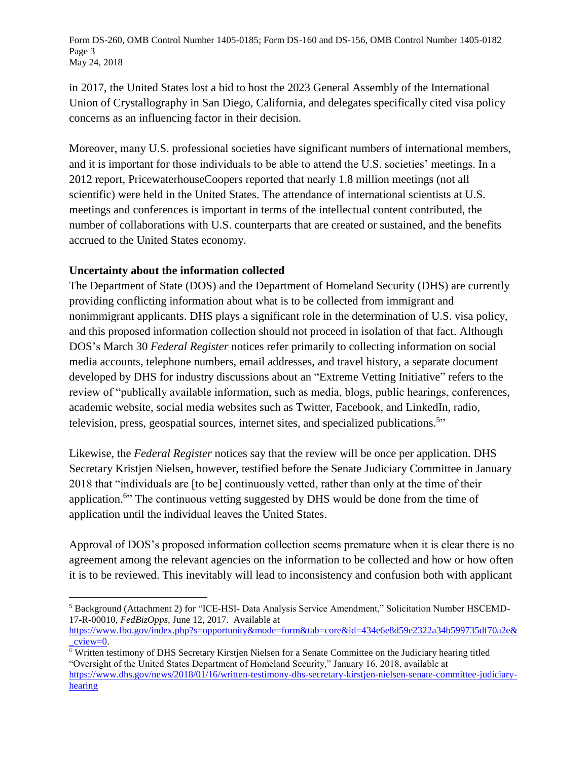Form DS-260, OMB Control Number 1405-0185; Form DS-160 and DS-156, OMB Control Number 1405-0182 Page 3 May 24, 2018

in 2017, the United States lost a bid to host the 2023 General Assembly of the International Union of Crystallography in San Diego, California, and delegates specifically cited visa policy concerns as an influencing factor in their decision.

Moreover, many U.S. professional societies have significant numbers of international members, and it is important for those individuals to be able to attend the U.S. societies' meetings. In a 2012 report, PricewaterhouseCoopers reported that nearly 1.8 million meetings (not all scientific) were held in the United States. The attendance of international scientists at U.S. meetings and conferences is important in terms of the intellectual content contributed, the number of collaborations with U.S. counterparts that are created or sustained, and the benefits accrued to the United States economy.

## **Uncertainty about the information collected**

The Department of State (DOS) and the Department of Homeland Security (DHS) are currently providing conflicting information about what is to be collected from immigrant and nonimmigrant applicants. DHS plays a significant role in the determination of U.S. visa policy, and this proposed information collection should not proceed in isolation of that fact. Although DOS's March 30 *Federal Register* notices refer primarily to collecting information on social media accounts, telephone numbers, email addresses, and travel history, a separate document developed by DHS for industry discussions about an "Extreme Vetting Initiative" refers to the review of "publically available information, such as media, blogs, public hearings, conferences, academic website, social media websites such as Twitter, Facebook, and LinkedIn, radio, television, press, geospatial sources, internet sites, and specialized publications.<sup>5</sup>"

Likewise, the *Federal Register* notices say that the review will be once per application. DHS Secretary Kristjen Nielsen, however, testified before the Senate Judiciary Committee in January 2018 that "individuals are [to be] continuously vetted, rather than only at the time of their application.<sup>6</sup>" The continuous vetting suggested by DHS would be done from the time of application until the individual leaves the United States.

Approval of DOS's proposed information collection seems premature when it is clear there is no agreement among the relevant agencies on the information to be collected and how or how often it is to be reviewed. This inevitably will lead to inconsistency and confusion both with applicant

 $\overline{a}$ <sup>5</sup> Background (Attachment 2) for "ICE-HSI- Data Analysis Service Amendment," Solicitation Number HSCEMD-17-R-00010, *FedBizOpps,* June 12, 2017. Available at

[https://www.fbo.gov/index.php?s=opportunity&mode=form&tab=core&id=434e6e8d59e2322a34b599735df70a2e&](https://www.fbo.gov/index.php?s=opportunity&mode=form&tab=core&id=434e6e8d59e2322a34b599735df70a2e&_cview=0) [\\_cview=0.](https://www.fbo.gov/index.php?s=opportunity&mode=form&tab=core&id=434e6e8d59e2322a34b599735df70a2e&_cview=0)

<sup>6</sup> Written testimony of DHS Secretary Kirstjen Nielsen for a Senate Committee on the Judiciary hearing titled "Oversight of the United States Department of Homeland Security," January 16, 2018, available at [https://www.dhs.gov/news/2018/01/16/written-testimony-dhs-secretary-kirstjen-nielsen-senate-committee-judiciary](https://www.dhs.gov/news/2018/01/16/written-testimony-dhs-secretary-kirstjen-nielsen-senate-committee-judiciary-hearing)[hearing](https://www.dhs.gov/news/2018/01/16/written-testimony-dhs-secretary-kirstjen-nielsen-senate-committee-judiciary-hearing)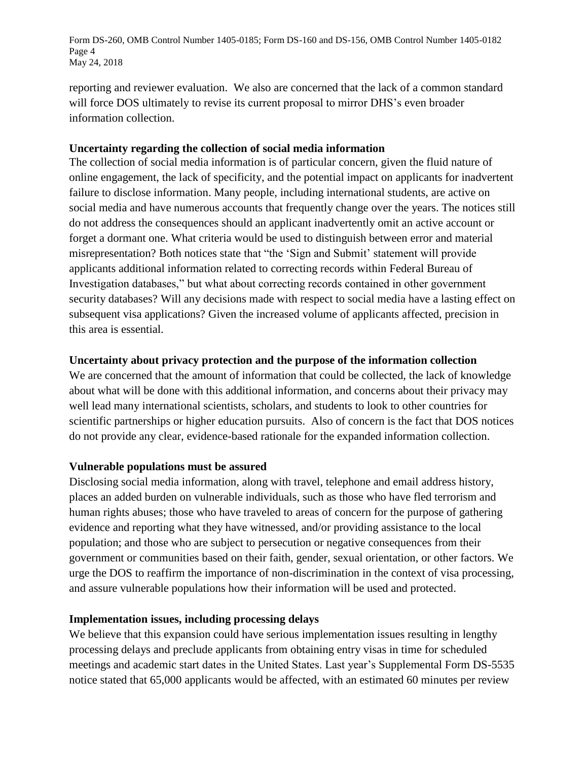Form DS-260, OMB Control Number 1405-0185; Form DS-160 and DS-156, OMB Control Number 1405-0182 Page 4 May 24, 2018

reporting and reviewer evaluation. We also are concerned that the lack of a common standard will force DOS ultimately to revise its current proposal to mirror DHS's even broader information collection.

#### **Uncertainty regarding the collection of social media information**

The collection of social media information is of particular concern, given the fluid nature of online engagement, the lack of specificity, and the potential impact on applicants for inadvertent failure to disclose information. Many people, including international students, are active on social media and have numerous accounts that frequently change over the years. The notices still do not address the consequences should an applicant inadvertently omit an active account or forget a dormant one. What criteria would be used to distinguish between error and material misrepresentation? Both notices state that "the 'Sign and Submit' statement will provide applicants additional information related to correcting records within Federal Bureau of Investigation databases," but what about correcting records contained in other government security databases? Will any decisions made with respect to social media have a lasting effect on subsequent visa applications? Given the increased volume of applicants affected, precision in this area is essential.

## **Uncertainty about privacy protection and the purpose of the information collection**

We are concerned that the amount of information that could be collected, the lack of knowledge about what will be done with this additional information, and concerns about their privacy may well lead many international scientists, scholars, and students to look to other countries for scientific partnerships or higher education pursuits. Also of concern is the fact that DOS notices do not provide any clear, evidence-based rationale for the expanded information collection.

## **Vulnerable populations must be assured**

Disclosing social media information, along with travel, telephone and email address history, places an added burden on vulnerable individuals, such as those who have fled terrorism and human rights abuses; those who have traveled to areas of concern for the purpose of gathering evidence and reporting what they have witnessed, and/or providing assistance to the local population; and those who are subject to persecution or negative consequences from their government or communities based on their faith, gender, sexual orientation, or other factors. We urge the DOS to reaffirm the importance of non-discrimination in the context of visa processing, and assure vulnerable populations how their information will be used and protected.

#### **Implementation issues, including processing delays**

We believe that this expansion could have serious implementation issues resulting in lengthy processing delays and preclude applicants from obtaining entry visas in time for scheduled meetings and academic start dates in the United States. Last year's Supplemental Form DS-5535 notice stated that 65,000 applicants would be affected, with an estimated 60 minutes per review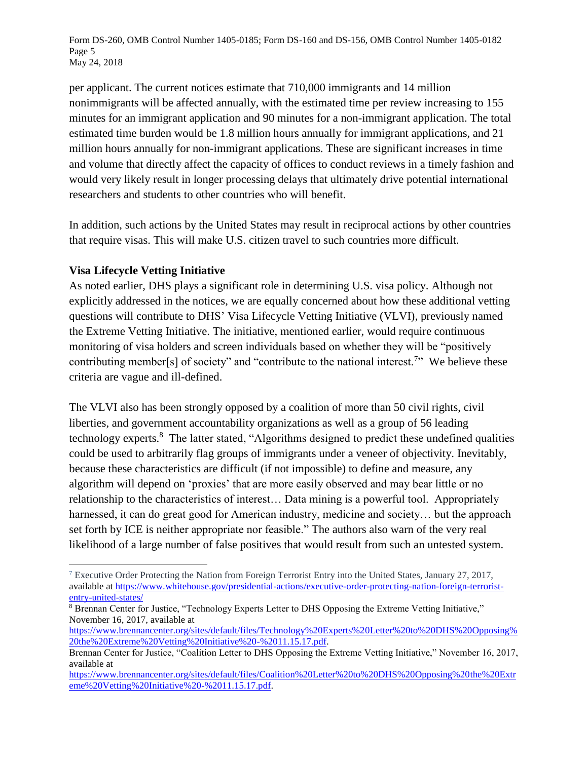Form DS-260, OMB Control Number 1405-0185; Form DS-160 and DS-156, OMB Control Number 1405-0182 Page 5 May 24, 2018

per applicant. The current notices estimate that 710,000 immigrants and 14 million nonimmigrants will be affected annually, with the estimated time per review increasing to 155 minutes for an immigrant application and 90 minutes for a non-immigrant application. The total estimated time burden would be 1.8 million hours annually for immigrant applications, and 21 million hours annually for non-immigrant applications. These are significant increases in time and volume that directly affect the capacity of offices to conduct reviews in a timely fashion and would very likely result in longer processing delays that ultimately drive potential international researchers and students to other countries who will benefit.

In addition, such actions by the United States may result in reciprocal actions by other countries that require visas. This will make U.S. citizen travel to such countries more difficult.

## **Visa Lifecycle Vetting Initiative**

 $\overline{a}$ 

As noted earlier, DHS plays a significant role in determining U.S. visa policy. Although not explicitly addressed in the notices, we are equally concerned about how these additional vetting questions will contribute to DHS' Visa Lifecycle Vetting Initiative (VLVI), previously named the Extreme Vetting Initiative. The initiative, mentioned earlier, would require continuous monitoring of visa holders and screen individuals based on whether they will be "positively contributing member[s] of society" and "contribute to the national interest.<sup>7</sup>" We believe these criteria are vague and ill-defined.

The VLVI also has been strongly opposed by a coalition of more than 50 civil rights, civil liberties, and government accountability organizations as well as a group of 56 leading technology experts.<sup>8</sup> The latter stated, "Algorithms designed to predict these undefined qualities could be used to arbitrarily flag groups of immigrants under a veneer of objectivity. Inevitably, because these characteristics are difficult (if not impossible) to define and measure, any algorithm will depend on 'proxies' that are more easily observed and may bear little or no relationship to the characteristics of interest… Data mining is a powerful tool. Appropriately harnessed, it can do great good for American industry, medicine and society... but the approach set forth by ICE is neither appropriate nor feasible." The authors also warn of the very real likelihood of a large number of false positives that would result from such an untested system.

<sup>&</sup>lt;sup>7</sup> Executive Order Protecting the Nation from Foreign Terrorist Entry into the United States, January 27, 2017, available at [https://www.whitehouse.gov/presidential-actions/executive-order-protecting-nation-foreign-terrorist](https://www.whitehouse.gov/presidential-actions/executive-order-protecting-nation-foreign-terrorist-entry-united-states/)[entry-united-states/](https://www.whitehouse.gov/presidential-actions/executive-order-protecting-nation-foreign-terrorist-entry-united-states/)

<sup>8</sup> Brennan Center for Justice, "Technology Experts Letter to DHS Opposing the Extreme Vetting Initiative," November 16, 2017, available at

[https://www.brennancenter.org/sites/default/files/Technology%20Experts%20Letter%20to%20DHS%20Opposing%](https://www.brennancenter.org/sites/default/files/Technology%20Experts%20Letter%20to%20DHS%20Opposing%20the%20Extreme%20Vetting%20Initiative%20-%2011.15.17.pdf) [20the%20Extreme%20Vetting%20Initiative%20-%2011.15.17.pdf.](https://www.brennancenter.org/sites/default/files/Technology%20Experts%20Letter%20to%20DHS%20Opposing%20the%20Extreme%20Vetting%20Initiative%20-%2011.15.17.pdf)

Brennan Center for Justice, "Coalition Letter to DHS Opposing the Extreme Vetting Initiative," November 16, 2017, available at

[https://www.brennancenter.org/sites/default/files/Coalition%20Letter%20to%20DHS%20Opposing%20the%20Extr](https://www.brennancenter.org/sites/default/files/Coalition%20Letter%20to%20DHS%20Opposing%20the%20Extreme%20Vetting%20Initiative%20-%2011.15.17.pdf) [eme%20Vetting%20Initiative%20-%2011.15.17.pdf.](https://www.brennancenter.org/sites/default/files/Coalition%20Letter%20to%20DHS%20Opposing%20the%20Extreme%20Vetting%20Initiative%20-%2011.15.17.pdf)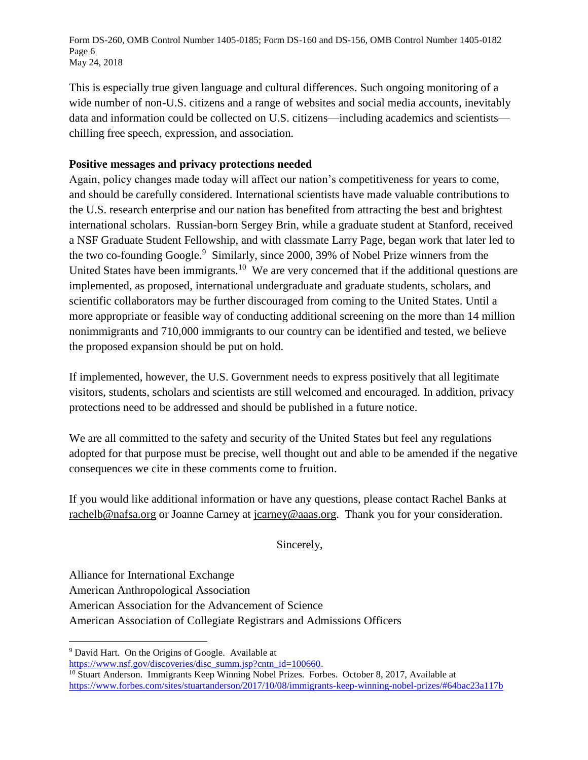Form DS-260, OMB Control Number 1405-0185; Form DS-160 and DS-156, OMB Control Number 1405-0182 Page 6 May 24, 2018

This is especially true given language and cultural differences. Such ongoing monitoring of a wide number of non-U.S. citizens and a range of websites and social media accounts, inevitably data and information could be collected on U.S. citizens—including academics and scientists chilling free speech, expression, and association.

# **Positive messages and privacy protections needed**

Again, policy changes made today will affect our nation's competitiveness for years to come, and should be carefully considered. International scientists have made valuable contributions to the U.S. research enterprise and our nation has benefited from attracting the best and brightest international scholars. Russian-born Sergey Brin, while a graduate student at Stanford, received a NSF Graduate Student Fellowship, and with classmate Larry Page, began work that later led to the two co-founding Google.<sup>9</sup> Similarly, since 2000, 39% of Nobel Prize winners from the United States have been immigrants.<sup>10</sup> We are very concerned that if the additional questions are implemented, as proposed, international undergraduate and graduate students, scholars, and scientific collaborators may be further discouraged from coming to the United States. Until a more appropriate or feasible way of conducting additional screening on the more than 14 million nonimmigrants and 710,000 immigrants to our country can be identified and tested, we believe the proposed expansion should be put on hold.

If implemented, however, the U.S. Government needs to express positively that all legitimate visitors, students, scholars and scientists are still welcomed and encouraged. In addition, privacy protections need to be addressed and should be published in a future notice.

We are all committed to the safety and security of the United States but feel any regulations adopted for that purpose must be precise, well thought out and able to be amended if the negative consequences we cite in these comments come to fruition.

If you would like additional information or have any questions, please contact Rachel Banks at [rachelb@nafsa.org](mailto:rachelb@nafsa.org) or Joanne Carney at [jcarney@aaas.org.](mailto:jcarney@aaas.org) Thank you for your consideration.

Sincerely,

Alliance for International Exchange

 $\overline{a}$ 

American Anthropological Association

American Association for the Advancement of Science

American Association of Collegiate Registrars and Admissions Officers

<sup>9</sup> David Hart. On the Origins of Google. Available at

[https://www.nsf.gov/discoveries/disc\\_summ.jsp?cntn\\_id=100660.](https://www.nsf.gov/discoveries/disc_summ.jsp?cntn_id=100660)

<sup>&</sup>lt;sup>10</sup> Stuart Anderson. Immigrants Keep Winning Nobel Prizes. Forbes. October 8, 2017, Available at <https://www.forbes.com/sites/stuartanderson/2017/10/08/immigrants-keep-winning-nobel-prizes/#64bac23a117b>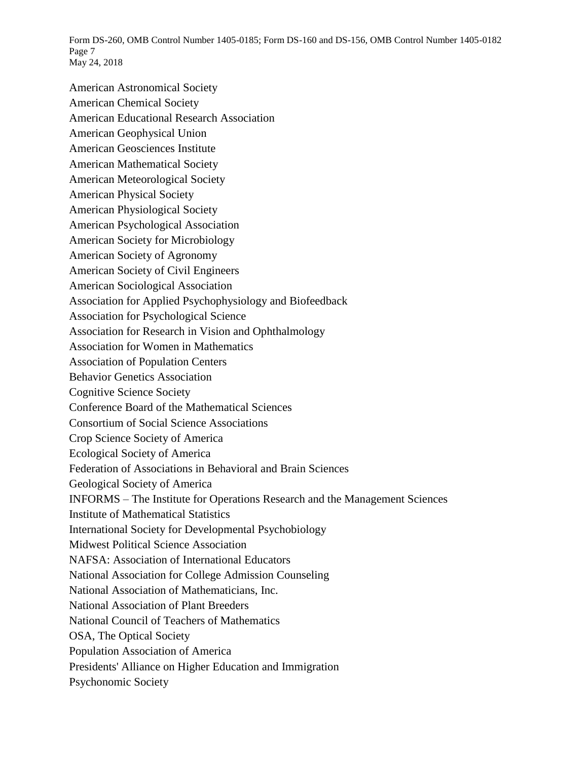Form DS-260, OMB Control Number 1405-0185; Form DS-160 and DS-156, OMB Control Number 1405-0182 Page 7 May 24, 2018

American Astronomical Society American Chemical Society American Educational Research Association American Geophysical Union American Geosciences Institute American Mathematical Society American Meteorological Society American Physical Society American Physiological Society American Psychological Association American Society for Microbiology American Society of Agronomy American Society of Civil Engineers American Sociological Association Association for Applied Psychophysiology and Biofeedback Association for Psychological Science Association for Research in Vision and Ophthalmology Association for Women in Mathematics Association of Population Centers Behavior Genetics Association Cognitive Science Society Conference Board of the Mathematical Sciences Consortium of Social Science Associations Crop Science Society of America Ecological Society of America Federation of Associations in Behavioral and Brain Sciences Geological Society of America INFORMS – The Institute for Operations Research and the Management Sciences Institute of Mathematical Statistics International Society for Developmental Psychobiology Midwest Political Science Association NAFSA: Association of International Educators National Association for College Admission Counseling National Association of Mathematicians, Inc. National Association of Plant Breeders National Council of Teachers of Mathematics OSA, The Optical Society Population Association of America Presidents' Alliance on Higher Education and Immigration Psychonomic Society